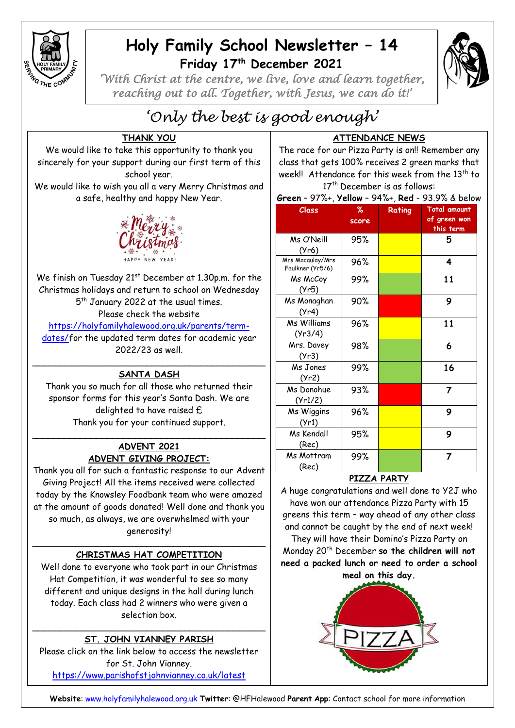

## **Holy Family School Newsletter – 14 Friday 17 th December 2021**



*'With Christ at the centre, we live, love and learn together, reaching out to all. Together, with Jesus, we can do it!'* 

# *'Only the best is good enough'*

## **THANK YOU**

We would like to take this opportunity to thank you sincerely for your support during our first term of this school year.

We would like to wish you all a very Merry Christmas and a safe, healthy and happy New Year.



We finish on Tuesday 21<sup>st</sup> December at 1.30p.m. for the Christmas holidays and return to school on Wednesday 5 th January 2022 at the usual times. Please check the website

[https://holyfamilyhalewood.org.uk/parents/term](https://holyfamilyhalewood.org.uk/parents/term-dates/)[dates/f](https://holyfamilyhalewood.org.uk/parents/term-dates/)or the updated term dates for academic year

2022/23 as well.

#### \_\_\_\_\_\_\_\_\_\_\_\_\_\_\_\_\_\_\_\_\_\_\_\_\_\_\_\_\_\_\_\_\_\_\_\_\_\_\_\_\_\_\_ **SANTA DASH**

Thank you so much for all those who returned their sponsor forms for this year's Santa Dash. We are delighted to have raised £ Thank you for your continued support.

## **ADVENT 2021 ADVENT GIVING PROJECT:**

\_\_\_\_\_\_\_\_\_\_\_\_\_\_\_\_\_\_\_\_\_\_\_\_\_\_\_\_\_\_\_\_\_\_\_\_\_\_\_\_\_\_\_

Thank you all for such a fantastic response to our Advent Giving Project! All the items received were collected today by the Knowsley Foodbank team who were amazed at the amount of goods donated! Well done and thank you so much, as always, we are overwhelmed with your generosity!

#### $\overline{\phantom{a}}$  , and the contract of the contract of the contract of the contract of the contract of the contract of the contract of the contract of the contract of the contract of the contract of the contract of the contrac **CHRISTMAS HAT COMPETITION**

Well done to everyone who took part in our Christmas Hat Competition, it was wonderful to see so many different and unique designs in the hall during lunch today. Each class had 2 winners who were given a selection box.

#### \_\_\_\_\_\_\_\_\_\_\_\_\_\_\_\_\_\_\_\_\_\_\_\_\_\_\_\_\_\_\_\_\_\_\_\_\_\_\_\_\_\_\_ **ST. JOHN VIANNEY PARISH**

Please click on the link below to access the newsletter for St. John Vianney. <https://www.parishofstjohnvianney.co.uk/latest>

**ATTENDANCE NEWS**

The race for our Pizza Party is on!! Remember any class that gets 100% receives 2 green marks that week!! Attendance for this week from the  $13<sup>th</sup>$  to 17<sup>th</sup> December is as follows:

**Green** – 97%+, **Yellow** – 94%+, **Red** - 93.9% & below

| י יש<br>$\sim$ $\sim$ $\sim$ $\sim$  | $\sim$        | 2.1707,1364 | ,,, ,, ,, ,,,, <b>,</b>                          |
|--------------------------------------|---------------|-------------|--------------------------------------------------|
| Class                                | $\%$<br>score | Rating      | <b>Total amount</b><br>of green won<br>this term |
| Ms O'Neill<br>(Yr6)                  | 95%           |             | 5                                                |
| Mrs Macaulay/Mrs<br>Faulkner (Yr5/6) | 96%           |             | 4                                                |
| Ms McCoy<br>(Yr5)                    | 99%           |             | 11                                               |
| Ms Monaghan<br>(Yr4)                 | 90%           |             | 9                                                |
| Ms Williams<br>(Yr3/4)               | 96%           |             | 11                                               |
| Mrs. Davey<br>(Yr3)                  | 98%           |             | 6                                                |
| Ms Jones<br>(Yr2)                    | 99%           |             | 16                                               |
| Ms Donohue<br>(Yr1/2)                | 93%           |             | 7                                                |
| Ms Wiggins<br>(Yr1)                  | 96%           |             | 9                                                |
| Ms Kendall<br>(Rec)                  | 95%           |             | 9                                                |
| Ms Mottram<br>(Rec)                  | 99%           |             | 7                                                |

## **PIZZA PARTY**

A huge congratulations and well done to Y2J who have won our attendance Pizza Party with 15 greens this term – way ahead of any other class and cannot be caught by the end of next week!

They will have their Domino's Pizza Party on Monday 20th December **so the children will not need a packed lunch or need to order a school meal on this day.**



**Website**: [www.holyfamilyhalewood.org.uk](http://www.holyfamilyhalewood.org.uk/) **Twitter**: @HFHalewood **Parent App**: Contact school for more information